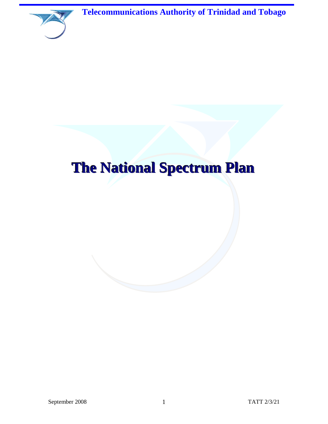**Telecommunications Authority of Trinidad and Tobago**



# **The National Spectrum Plan**

September 2008 1 TATT 2/3/21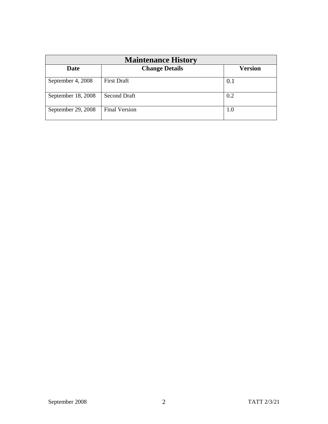| <b>Maintenance History</b> |                       |                |  |  |
|----------------------------|-----------------------|----------------|--|--|
| Date                       | <b>Change Details</b> | <b>Version</b> |  |  |
| September 4, 2008          | <b>First Draft</b>    | 0.1            |  |  |
| September 18, 2008         | <b>Second Draft</b>   | 0.2            |  |  |
| September 29, 2008         | <b>Final Version</b>  | 1.0            |  |  |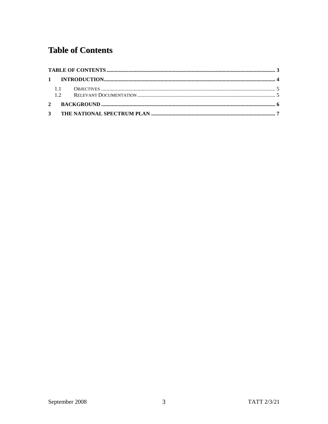# <span id="page-2-0"></span>**Table of Contents**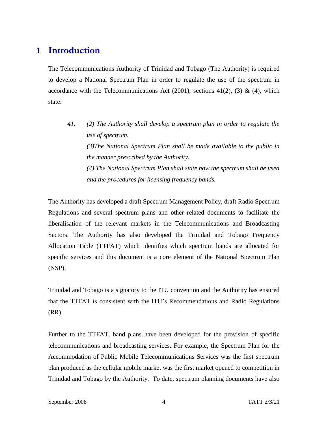# <span id="page-3-0"></span>**1 Introduction**

The Telecommunications Authority of Trinidad and Tobago (The Authority) is required to develop a National Spectrum Plan in order to regulate the use of the spectrum in accordance with the Telecommunications Act (2001), sections  $41(2)$ , (3) & (4), which state:

*41. (2) The Authority shall develop a spectrum plan in order to regulate the use of spectrum. (3)The National Spectrum Plan shall be made available to the public in the manner prescribed by the Authority. (4) The National Spectrum Plan shall state how the spectrum shall be used and the procedures for licensing frequency bands.*

The Authority has developed a draft Spectrum Management Policy, draft Radio Spectrum Regulations and several spectrum plans and other related documents to facilitate the liberalisation of the relevant markets in the Telecommunications and Broadcasting Sectors. The Authority has also developed the Trinidad and Tobago Frequency Allocation Table (TTFAT) which identifies which spectrum bands are allocated for specific services and this document is a core element of the National Spectrum Plan (NSP).

Trinidad and Tobago is a signatory to the ITU convention and the Authority has ensured that the TTFAT is consistent with the ITU's Recommendations and Radio Regulations (RR).

Further to the TTFAT, band plans have been developed for the provision of specific telecommunications and broadcasting services. For example, the Spectrum Plan for the Accommodation of Public Mobile Telecommunications Services was the first spectrum plan produced as the cellular mobile market was the first market opened to competition in Trinidad and Tobago by the Authority. To date, spectrum planning documents have also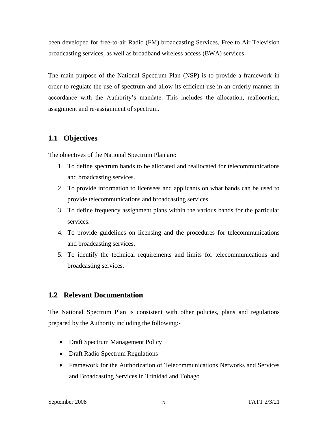been developed for free-to-air Radio (FM) broadcasting Services, Free to Air Television broadcasting services, as well as broadband wireless access (BWA) services.

The main purpose of the National Spectrum Plan (NSP) is to provide a framework in order to regulate the use of spectrum and allow its efficient use in an orderly manner in accordance with the Authority's mandate. This includes the allocation, reallocation, assignment and re-assignment of spectrum.

## <span id="page-4-0"></span>**1.1 Objectives**

The objectives of the National Spectrum Plan are:

- 1. To define spectrum bands to be allocated and reallocated for telecommunications and broadcasting services.
- 2. To provide information to licensees and applicants on what bands can be used to provide telecommunications and broadcasting services.
- 3. To define frequency assignment plans within the various bands for the particular services.
- 4. To provide guidelines on licensing and the procedures for telecommunications and broadcasting services.
- 5. To identify the technical requirements and limits for telecommunications and broadcasting services.

## <span id="page-4-1"></span>**1.2 Relevant Documentation**

The National Spectrum Plan is consistent with other policies, plans and regulations prepared by the Authority including the following:-

- Draft Spectrum Management Policy
- Draft Radio Spectrum Regulations
- Framework for the Authorization of Telecommunications Networks and Services and Broadcasting Services in Trinidad and Tobago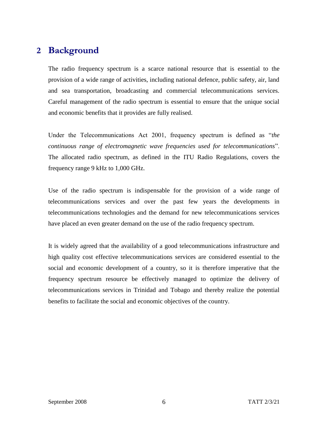# <span id="page-5-0"></span>**2 Background**

The radio frequency spectrum is a scarce national resource that is essential to the provision of a wide range of activities, including national defence, public safety, air, land and sea transportation, broadcasting and commercial telecommunications services. Careful management of the radio spectrum is essential to ensure that the unique social and economic benefits that it provides are fully realised.

Under the Telecommunications Act 2001, frequency spectrum is defined as "*the continuous range of electromagnetic wave frequencies used for telecommunications*". The allocated radio spectrum, as defined in the ITU Radio Regulations, covers the frequency range 9 kHz to 1,000 GHz.

Use of the radio spectrum is indispensable for the provision of a wide range of telecommunications services and over the past few years the developments in telecommunications technologies and the demand for new telecommunications services have placed an even greater demand on the use of the radio frequency spectrum.

It is widely agreed that the availability of a good telecommunications infrastructure and high quality cost effective telecommunications services are considered essential to the social and economic development of a country, so it is therefore imperative that the frequency spectrum resource be effectively managed to optimize the delivery of telecommunications services in Trinidad and Tobago and thereby realize the potential benefits to facilitate the social and economic objectives of the country.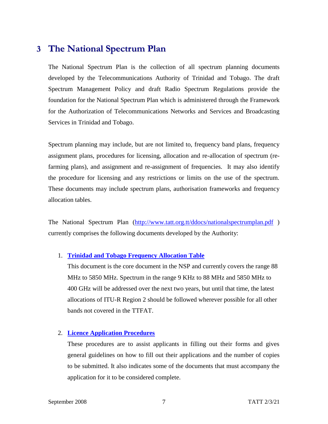## <span id="page-6-0"></span>**3 The National Spectrum Plan**

The National Spectrum Plan is the collection of all spectrum planning documents developed by the Telecommunications Authority of Trinidad and Tobago. The draft Spectrum Management Policy and draft Radio Spectrum Regulations provide the foundation for the National Spectrum Plan which is administered through the Framework for the Authorization of Telecommunications Networks and Services and Broadcasting Services in Trinidad and Tobago.

Spectrum planning may include, but are not limited to, frequency band plans, frequency assignment plans, procedures for licensing, allocation and re-allocation of spectrum (refarming plans), and assignment and re-assignment of frequencies. It may also identify the procedure for licensing and any restrictions or limits on the use of the spectrum. These documents may include spectrum plans, authorisation frameworks and frequency allocation tables.

The National Spectrum Plan [\(http://www.tatt.org.tt/ddocs/nationalspectrumplan.pdf](http://www.tatt.org.tt/ddocs/nationalspectrumplan.pdf) ) currently comprises the following documents developed by the Authority:

#### 1. **[Trinidad and Tobago Frequency Allocation](https://tatt.org.tt/DesktopModules/Bring2mind/DMX/Download.aspx?Command=Core_Download&EntryId=462&PortalId=0&TabId=222) Table**

This document is the core document in the NSP and currently covers the range 88 MHz to 5850 MHz. Spectrum in the range 9 KHz to 88 MHz and 5850 MHz to 400 GHz will be addressed over the next two years, but until that time, the latest allocations of ITU-R Region 2 should be followed wherever possible for all other bands not covered in the TTFAT.

#### 2. **[Licence Application Procedures](https://tatt.org.tt/Licensing/ApplyForaLicence.aspx)**

These procedures are to assist applicants in filling out their forms and gives general guidelines on how to fill out their applications and the number of copies to be submitted. It also indicates some of the documents that must accompany the application for it to be considered complete.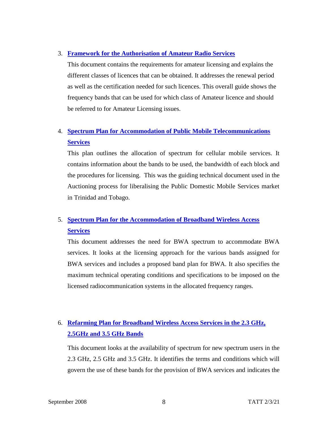#### 3. **[Framework for the Authorisation of Amateur Radio Services](https://tatt.org.tt/DesktopModules/Bring2mind/DMX/Download.aspx?Command=Core_Download&EntryId=329&PortalId=0&TabId=222)**

This document contains the requirements for amateur licensing and explains the different classes of licences that can be obtained. It addresses the renewal period as well as the certification needed for such licences. This overall guide shows the frequency bands that can be used for which class of Amateur licence and should be referred to for Amateur Licensing issues.

## 4. **[Spectrum Plan for Accommodation of Public Mobile Telecommunications](https://tatt.org.tt/Portals/0/PMTS%20S.pdf)  [Services](https://tatt.org.tt/Portals/0/PMTS%20S.pdf)**

This plan outlines the allocation of spectrum for cellular mobile services. It contains information about the bands to be used, the bandwidth of each block and the procedures for licensing. This was the guiding technical document used in the Auctioning process for liberalising the Public Domestic Mobile Services market in Trinidad and Tobago.

## 5. **[Spectrum Plan for the Accommodation of Broadband Wireless Access](https://tatt.org.tt/Portals/0/Documents/Spectrum%20Plan%20for%20the%20Accommodation%20of%20Broadband%20Wireless%20Access%20Services.pdf)  [Services](https://tatt.org.tt/Portals/0/Documents/Spectrum%20Plan%20for%20the%20Accommodation%20of%20Broadband%20Wireless%20Access%20Services.pdf)**

This document addresses the need for BWA spectrum to accommodate BWA services. It looks at the licensing approach for the various bands assigned for BWA services and includes a proposed band plan for BWA. It also specifies the maximum technical operating conditions and specifications to be imposed on the licensed radiocommunication systems in the allocated frequency ranges.

## 6. **[Refarming Plan for Broadband Wireless Access Services in the 2.3 GHz,](https://tatt.org.tt/Portals/0/Documents/Refarming%20Plan%20for%20Broadband%20Wireless%20Access%20Services%20in%20the%202.3%20GHz,%202.5%20GHz%20and%203.5%20GHz%20Bands.pdf)  [2.5GHz and 3.5 GHz Bands](https://tatt.org.tt/Portals/0/Documents/Refarming%20Plan%20for%20Broadband%20Wireless%20Access%20Services%20in%20the%202.3%20GHz,%202.5%20GHz%20and%203.5%20GHz%20Bands.pdf)**

This document looks at the availability of spectrum for new spectrum users in the 2.3 GHz, 2.5 GHz and 3.5 GHz. It identifies the terms and conditions which will govern the use of these bands for the provision of BWA services and indicates the